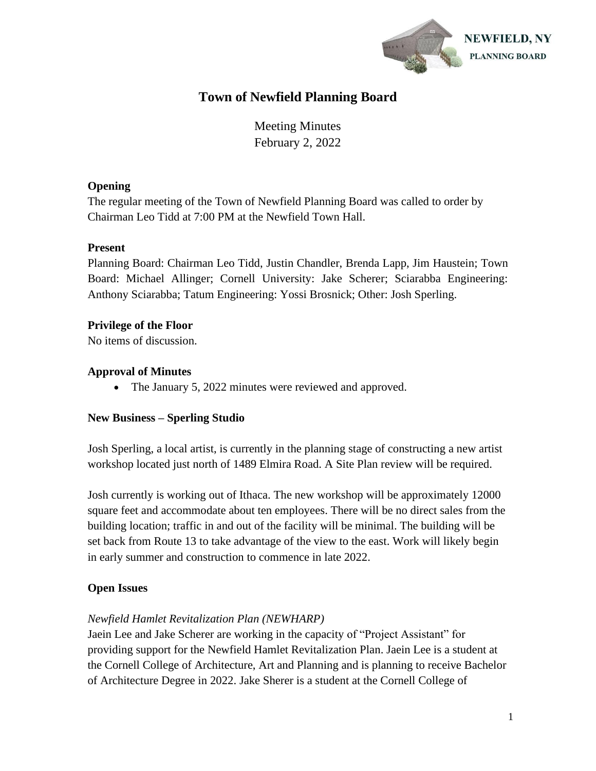

# **Town of Newfield Planning Board**

Meeting Minutes February 2, 2022

### **Opening**

The regular meeting of the Town of Newfield Planning Board was called to order by Chairman Leo Tidd at 7:00 PM at the Newfield Town Hall.

# **Present**

Planning Board: Chairman Leo Tidd, Justin Chandler, Brenda Lapp, Jim Haustein; Town Board: Michael Allinger; Cornell University: Jake Scherer; Sciarabba Engineering: Anthony Sciarabba; Tatum Engineering: Yossi Brosnick; Other: Josh Sperling.

# **Privilege of the Floor**

No items of discussion.

# **Approval of Minutes**

• The January 5, 2022 minutes were reviewed and approved.

### **New Business – Sperling Studio**

Josh Sperling, a local artist, is currently in the planning stage of constructing a new artist workshop located just north of 1489 Elmira Road. A Site Plan review will be required.

Josh currently is working out of Ithaca. The new workshop will be approximately 12000 square feet and accommodate about ten employees. There will be no direct sales from the building location; traffic in and out of the facility will be minimal. The building will be set back from Route 13 to take advantage of the view to the east. Work will likely begin in early summer and construction to commence in late 2022.

# **Open Issues**

# *Newfield Hamlet Revitalization Plan (NEWHARP)*

Jaein Lee and Jake Scherer are working in the capacity of "Project Assistant" for providing support for the Newfield Hamlet Revitalization Plan. Jaein Lee is a student at the Cornell College of Architecture, Art and Planning and is planning to receive Bachelor of Architecture Degree in 2022. Jake Sherer is a student at the Cornell College of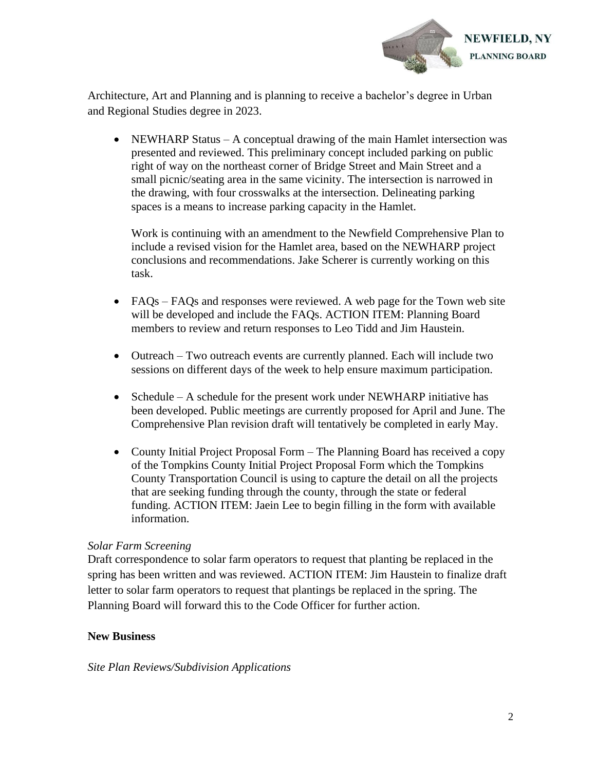

Architecture, Art and Planning and is planning to receive a bachelor's degree in Urban and Regional Studies degree in 2023.

• NEWHARP Status – A conceptual drawing of the main Hamlet intersection was presented and reviewed. This preliminary concept included parking on public right of way on the northeast corner of Bridge Street and Main Street and a small picnic/seating area in the same vicinity. The intersection is narrowed in the drawing, with four crosswalks at the intersection. Delineating parking spaces is a means to increase parking capacity in the Hamlet.

Work is continuing with an amendment to the Newfield Comprehensive Plan to include a revised vision for the Hamlet area, based on the NEWHARP project conclusions and recommendations. Jake Scherer is currently working on this task.

- FAQs FAQs and responses were reviewed. A web page for the Town web site will be developed and include the FAQs. ACTION ITEM: Planning Board members to review and return responses to Leo Tidd and Jim Haustein.
- Outreach Two outreach events are currently planned. Each will include two sessions on different days of the week to help ensure maximum participation.
- Schedule A schedule for the present work under NEWHARP initiative has been developed. Public meetings are currently proposed for April and June. The Comprehensive Plan revision draft will tentatively be completed in early May.
- County Initial Project Proposal Form The Planning Board has received a copy of the Tompkins County Initial Project Proposal Form which the Tompkins County Transportation Council is using to capture the detail on all the projects that are seeking funding through the county, through the state or federal funding. ACTION ITEM: Jaein Lee to begin filling in the form with available information.

#### *Solar Farm Screening*

Draft correspondence to solar farm operators to request that planting be replaced in the spring has been written and was reviewed. ACTION ITEM: Jim Haustein to finalize draft letter to solar farm operators to request that plantings be replaced in the spring. The Planning Board will forward this to the Code Officer for further action.

#### **New Business**

#### *Site Plan Reviews/Subdivision Applications*